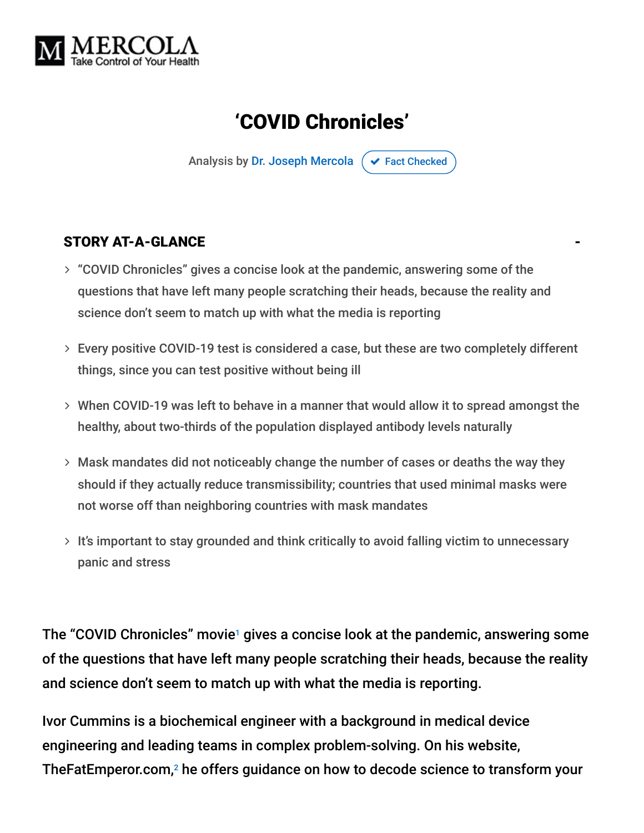

# 'COVID Chronicles'

Analysis by [Dr. Joseph Mercola](https://www.mercola.com/forms/background.htm)  $\sigma$  [Fact Checked](javascript:void(0))

#### STORY AT-A-GLANCE

- "COVID Chronicles" gives a concise look at the pandemic, answering some of the questions that have left many people scratching their heads, because the reality and science don't seem to match up with what the media is reporting
- Every positive COVID-19 test is considered a case, but these are two completely different things, since you can test positive without being ill
- When COVID-19 was left to behave in a manner that would allow it to spread amongst the healthy, about two-thirds of the population displayed antibody levels naturally
- Mask mandates did not noticeably change the number of cases or deaths the way they should if they actually reduce transmissibility; countries that used minimal masks were not worse off than neighboring countries with mask mandates
- $>$  It's important to stay grounded and think critically to avoid falling victim to unnecessary panic and stress

The "COVID Chronicles" movie<sup>1</sup> gives a concise look at the pandemic, answering some of the questions that have left many people scratching their heads, because the reality and science don't seem to match up with what the media is reporting.

Ivor Cummins is a biochemical engineer with a background in medical device engineering and leading teams in complex problem-solving. On his website, TheFatEmperor.com, $^2$  he offers guidance on how to decode science to transform your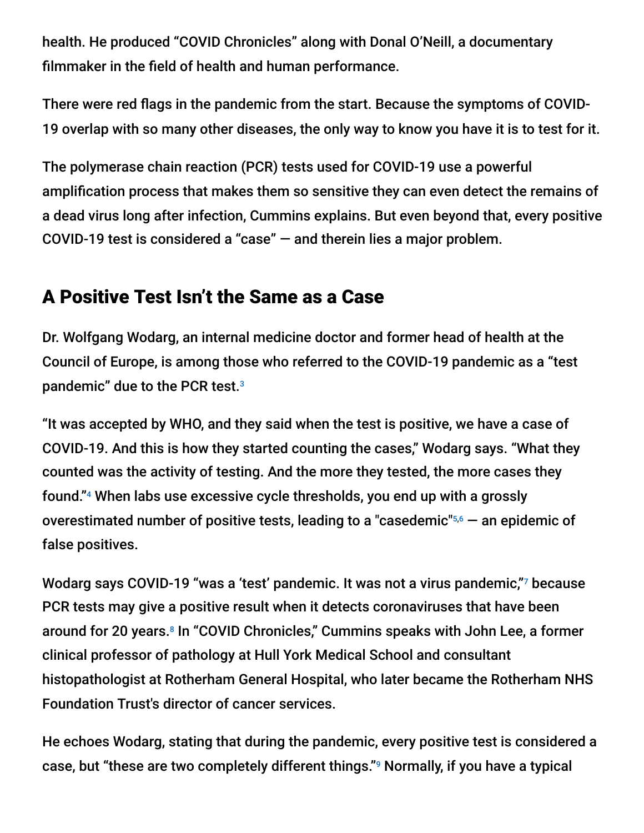health. He produced "COVID Chronicles" along with Donal O'Neill, a documentary filmmaker in the field of health and human performance.

There were red flags in the pandemic from the start. Because the symptoms of COVID-19 overlap with so many other diseases, the only way to know you have it is to test for it.

The polymerase chain reaction (PCR) tests used for COVID-19 use a powerful amplification process that makes them so sensitive they can even detect the remains of a dead virus long after infection, Cummins explains. But even beyond that, every positive COVID-19 test is considered a "case" — and therein lies a major problem.

### A Positive Test Isn't the Same as a Case

Dr. Wolfgang Wodarg, an internal medicine doctor and former head of health at the Council of Europe, is among those who referred to the COVID-19 pandemic as a "test pandemic" due to the PCR test. 3

"It was accepted by WHO, and they said when the test is positive, we have a case of COVID-19. And this is how they started counting the cases," Wodarg says. "What they counted was the activity of testing. And the more they tested, the more cases they found."4 When labs use excessive cycle thresholds, you end up with a grossly overestimated number of positive tests, leading to a "casedemic" $56$  — an epidemic of false positives.

Wodarg says COVID-19 "was a 'test' pandemic. It was not a virus pandemic,"7 because PCR tests may give a positive result when it detects coronaviruses that have been around for 20 years.<sup>8</sup> In "COVID Chronicles," Cummins speaks with John Lee, a former clinical professor of pathology at Hull York Medical School and consultant histopathologist at Rotherham General Hospital, who later became the Rotherham NHS Foundation Trust's director of cancer services.

He echoes Wodarg, stating that during the pandemic, every positive test is considered a case, but "these are two completely different things."<sup>9</sup> Normally, if you have a typical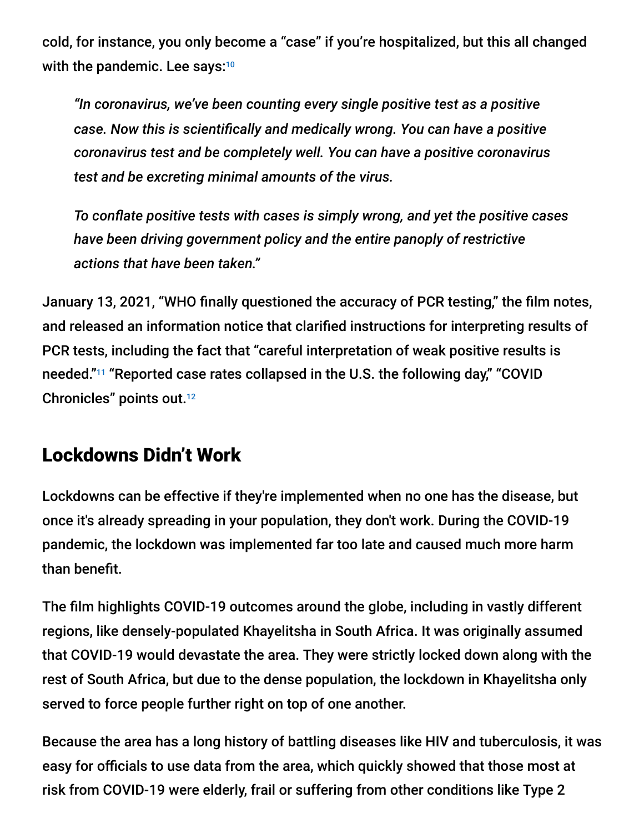cold, for instance, you only become a "case" if you're hospitalized, but this all changed with the pandemic. Lee says:<sup>10</sup>

*"In coronavirus, we've been counting every single positive test as a positive case. Now this is scientifically and medically wrong. You can have a positive coronavirus test and be completely well. You can have a positive coronavirus test and be excreting minimal amounts of the virus.*

*To conflate positive tests with cases is simply wrong, and yet the positive cases have been driving government policy and the entire panoply of restrictive actions that have been taken."*

January 13, 2021, "WHO finally questioned the accuracy of PCR testing," the film notes, and released an information notice that clarified instructions for interpreting results of PCR tests, including the fact that "careful interpretation of weak positive results is needed."<sup>11</sup> "Reported case rates collapsed in the U.S. the following day," "COVID Chronicles" points out. 12

### Lockdowns Didn't Work

Lockdowns can be effective if they're implemented when no one has the disease, but once it's already spreading in your population, they don't work. During the COVID-19 pandemic, the lockdown was implemented far too late and caused much more harm than benefit.

The film highlights COVID-19 outcomes around the globe, including in vastly different regions, like densely-populated Khayelitsha in South Africa. It was originally assumed that COVID-19 would devastate the area. They were strictly locked down along with the rest of South Africa, but due to the dense population, the lockdown in Khayelitsha only served to force people further right on top of one another.

Because the area has a long history of battling diseases like HIV and tuberculosis, it was easy for officials to use data from the area, which quickly showed that those most at risk from COVID-19 were elderly, frail or suffering from other conditions like Type 2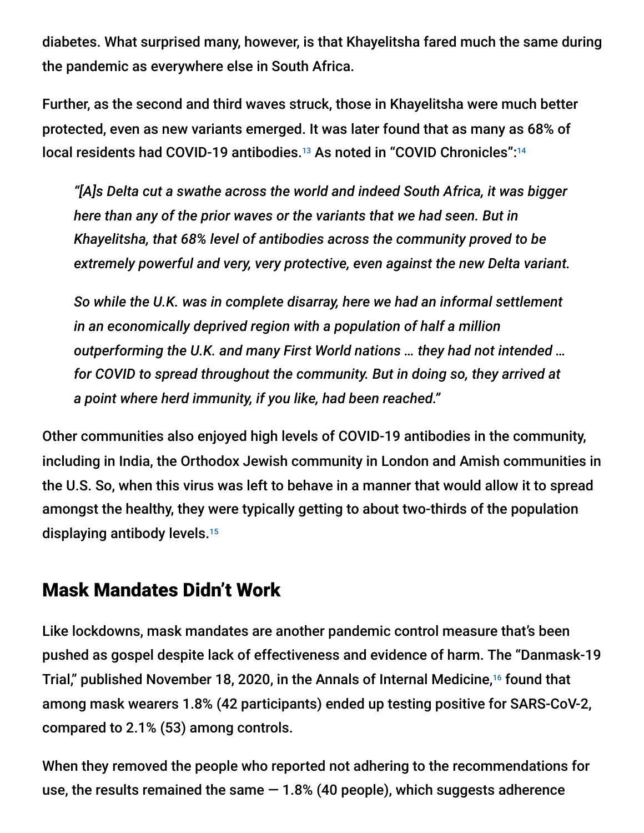diabetes. What surprised many, however, is that Khayelitsha fared much the same during the pandemic as everywhere else in South Africa.

Further, as the second and third waves struck, those in Khayelitsha were much better protected, even as new variants emerged. It was later found that as many as 68% of local residents had COVID-19 antibodies.<sup>13</sup> As noted in "COVID Chronicles":<sup>14</sup>

*"[A]s Delta cut a swathe across the world and indeed South Africa, it was bigger here than any of the prior waves or the variants that we had seen. But in Khayelitsha, that 68% level of antibodies across the community proved to be extremely powerful and very, very protective, even against the new Delta variant.*

*So while the U.K. was in complete disarray, here we had an informal settlement in an economically deprived region with a population of half a million outperforming the U.K. and many First World nations … they had not intended … for COVID to spread throughout the community. But in doing so, they arrived at a point where herd immunity, if you like, had been reached."*

Other communities also enjoyed high levels of COVID-19 antibodies in the community, including in India, the Orthodox Jewish community in London and Amish communities in the U.S. So, when this virus was left to behave in a manner that would allow it to spread amongst the healthy, they were typically getting to about two-thirds of the population displaying antibody levels. 15

### Mask Mandates Didn't Work

Like lockdowns, mask mandates are another pandemic control measure that's been pushed as gospel despite lack of effectiveness and evidence of harm. The "Danmask-19 Trial," published November 18, 2020, in the Annals of Internal Medicine,<sup>16</sup> found that among mask wearers 1.8% (42 participants) ended up testing positive for SARS-CoV-2, compared to 2.1% (53) among controls.

When they removed the people who reported not adhering to the recommendations for use, the results remained the same  $-1.8%$  (40 people), which suggests adherence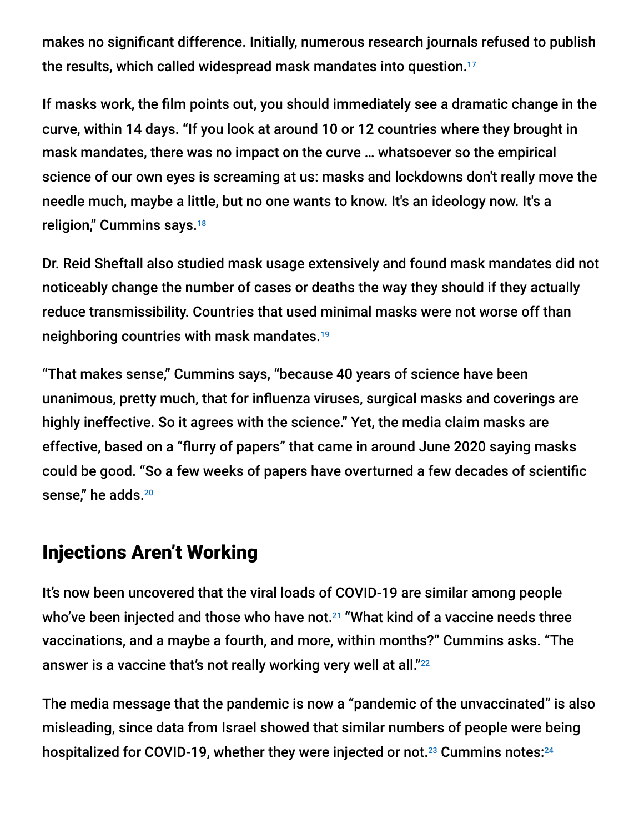makes no significant difference. Initially, numerous research journals refused to publish the results, which called widespread mask mandates into question. 17

If masks work, the film points out, you should immediately see a dramatic change in the curve, within 14 days. "If you look at around 10 or 12 countries where they brought in mask mandates, there was no impact on the curve … whatsoever so the empirical science of our own eyes is screaming at us: masks and lockdowns don't really move the needle much, maybe a little, but no one wants to know. It's an ideology now. It's a religion," Cummins says. 18

Dr. Reid Sheftall also studied mask usage extensively and found mask mandates did not noticeably change the number of cases or deaths the way they should if they actually reduce transmissibility. Countries that used minimal masks were not worse off than neighboring countries with mask mandates. 19

"That makes sense," Cummins says, "because 40 years of science have been unanimous, pretty much, that for influenza viruses, surgical masks and coverings are highly ineffective. So it agrees with the science." Yet, the media claim masks are effective, based on a "flurry of papers" that came in around June 2020 saying masks could be good. "So a few weeks of papers have overturned a few decades of scientific sense," he adds. 20

### Injections Aren't Working

It's now been uncovered that the viral loads of COVID-19 are similar among people who've been injected and those who have not. $^{21}$  "What kind of a vaccine needs three vaccinations, and a maybe a fourth, and more, within months?" Cummins asks. "The answer is a vaccine that's not really working very well at all."<sup>22</sup>

The media message that the pandemic is now a "pandemic of the unvaccinated" is also misleading, since data from Israel showed that similar numbers of people were being hospitalized for COVID-19, whether they were injected or not. $^{23}$  Cummins notes: $^{24}$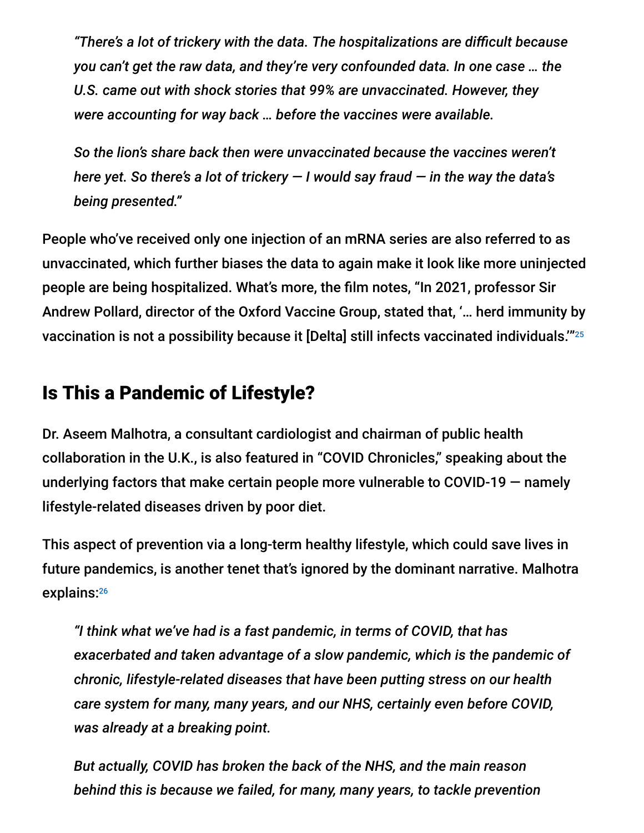*"There's a lot of trickery with the data. The hospitalizations are difficult because you can't get the raw data, and they're very confounded data. In one case … the U.S. came out with shock stories that 99% are unvaccinated. However, they were accounting for way back … before the vaccines were available.*

*So the lion's share back then were unvaccinated because the vaccines weren't here yet. So there's a lot of trickery — I would say fraud — in the way the data's being presented."*

People who've received only one injection of an mRNA series are also referred to as unvaccinated, which further biases the data to again make it look like more uninjected people are being hospitalized. What's more, the film notes, "In 2021, professor Sir Andrew Pollard, director of the Oxford Vaccine Group, stated that, '… herd immunity by vaccination is not a possibility because it [Delta] still infects vaccinated individuals." $^{25}$ 

## Is This a Pandemic of Lifestyle?

Dr. Aseem Malhotra, a consultant cardiologist and chairman of public health collaboration in the U.K., is also featured in "COVID Chronicles," speaking about the underlying factors that make certain people more vulnerable to COVID-19 — namely lifestyle-related diseases driven by poor diet.

This aspect of prevention via a long-term healthy lifestyle, which could save lives in future pandemics, is another tenet that's ignored by the dominant narrative. Malhotra explains: 26

*"I think what we've had is a fast pandemic, in terms of COVID, that has exacerbated and taken advantage of a slow pandemic, which is the pandemic of chronic, lifestyle-related diseases that have been putting stress on our health care system for many, many years, and our NHS, certainly even before COVID, was already at a breaking point.*

*But actually, COVID has broken the back of the NHS, and the main reason behind this is because we failed, for many, many years, to tackle prevention*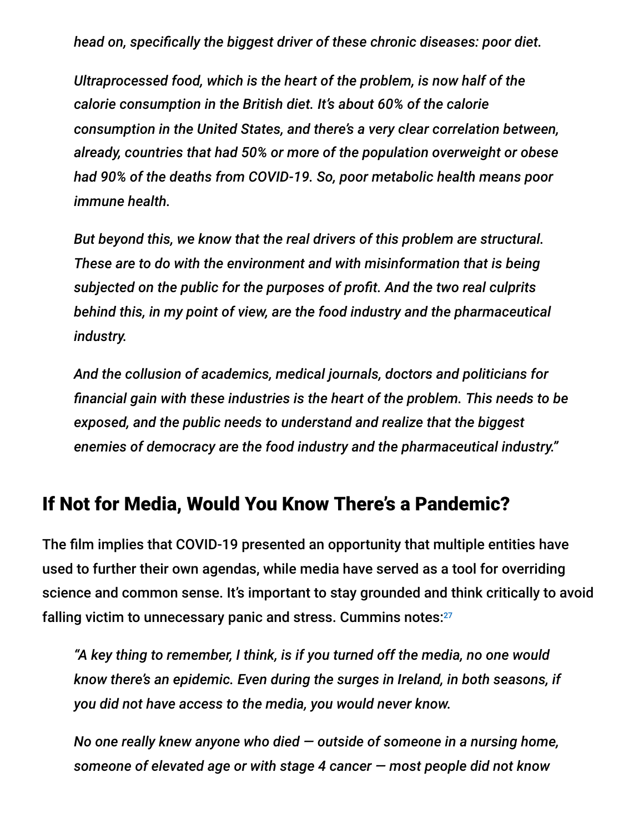*head on, specifically the biggest driver of these chronic diseases: poor diet.*

*Ultraprocessed food, which is the heart of the problem, is now half of the calorie consumption in the British diet. It's about 60% of the calorie consumption in the United States, and there's a very clear correlation between, already, countries that had 50% or more of the population overweight or obese had 90% of the deaths from COVID-19. So, poor metabolic health means poor immune health.*

*But beyond this, we know that the real drivers of this problem are structural. These are to do with the environment and with misinformation that is being subjected on the public for the purposes of profit. And the two real culprits behind this, in my point of view, are the food industry and the pharmaceutical industry.*

*And the collusion of academics, medical journals, doctors and politicians for financial gain with these industries is the heart of the problem. This needs to be exposed, and the public needs to understand and realize that the biggest enemies of democracy are the food industry and the pharmaceutical industry."*

#### If Not for Media, Would You Know There's a Pandemic?

The film implies that COVID-19 presented an opportunity that multiple entities have used to further their own agendas, while media have served as a tool for overriding science and common sense. It's important to stay grounded and think critically to avoid falling victim to unnecessary panic and stress. Cummins notes:<sup>27</sup>

*"A key thing to remember, I think, is if you turned off the media, no one would know there's an epidemic. Even during the surges in Ireland, in both seasons, if you did not have access to the media, you would never know.*

*No one really knew anyone who died — outside of someone in a nursing home, someone of elevated age or with stage 4 cancer — most people did not know*